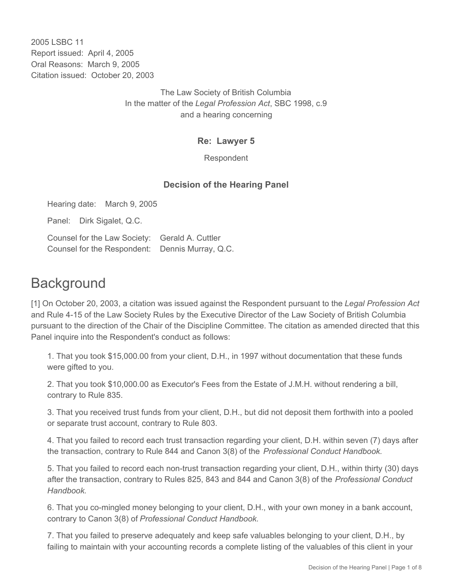2005 LSBC 11 Report issued: April 4, 2005 Oral Reasons: March 9, 2005 Citation issued: October 20, 2003

> The Law Society of British Columbia In the matter of the *Legal Profession Act*, SBC 1998, c.9 and a hearing concerning

#### **Re: Lawyer 5**

Respondent

## **Decision of the Hearing Panel**

Hearing date: March 9, 2005

Panel: Dirk Sigalet, Q.C.

Counsel for the Law Society: Gerald A. Cuttler Counsel for the Respondent: Dennis Murray, Q.C.

# **Background**

[1] On October 20, 2003, a citation was issued against the Respondent pursuant to the *Legal Profession Act* and Rule 4-15 of the Law Society Rules by the Executive Director of the Law Society of British Columbia pursuant to the direction of the Chair of the Discipline Committee. The citation as amended directed that this Panel inquire into the Respondent's conduct as follows:

1. That you took \$15,000.00 from your client, D.H., in 1997 without documentation that these funds were gifted to you.

2. That you took \$10,000.00 as Executor's Fees from the Estate of J.M.H. without rendering a bill, contrary to Rule 835.

3. That you received trust funds from your client, D.H., but did not deposit them forthwith into a pooled or separate trust account, contrary to Rule 803.

4. That you failed to record each trust transaction regarding your client, D.H. within seven (7) days after the transaction, contrary to Rule 844 and Canon 3(8) of the *Professional Conduct Handbook.* 

5. That you failed to record each non-trust transaction regarding your client, D.H., within thirty (30) days after the transaction, contrary to Rules 825, 843 and 844 and Canon 3(8) of the *Professional Conduct Handbook.*

6. That you co-mingled money belonging to your client, D.H., with your own money in a bank account, contrary to Canon 3(8) of *Professional Conduct Handbook.*

7. That you failed to preserve adequately and keep safe valuables belonging to your client, D.H., by failing to maintain with your accounting records a complete listing of the valuables of this client in your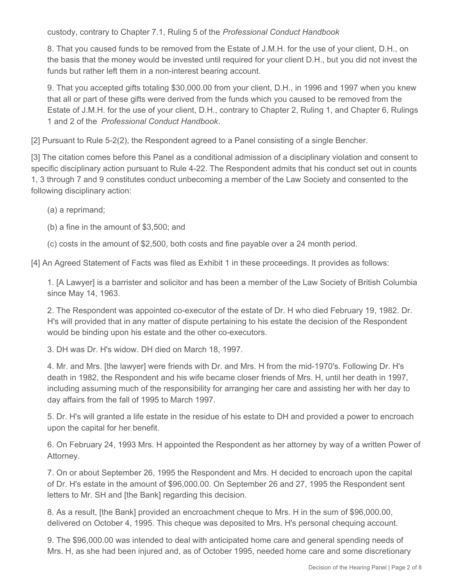custody, contrary to Chapter 7.1, Ruling 5 of the *Professional Conduct Handbook*

8. That you caused funds to be removed from the Estate of J.M.H. for the use of your client, D.H., on the basis that the money would be invested until required for your client D.H., but you did not invest the funds but rather left them in a non-interest bearing account.

9. That you accepted gifts totaling \$30,000.00 from your client, D.H., in 1996 and 1997 when you knew that all or part of these gifts were derived from the funds which you caused to be removed from the Estate of J.M.H. for the use of your client, D.H., contrary to Chapter 2, Ruling 1, and Chapter 6, Rulings 1 and 2 of the *Professional Conduct Handbook*.

[2] Pursuant to Rule 5-2(2), the Respondent agreed to a Panel consisting of a single Bencher.

[3] The citation comes before this Panel as a conditional admission of a disciplinary violation and consent to specific disciplinary action pursuant to Rule 4-22. The Respondent admits that his conduct set out in counts 1, 3 through 7 and 9 constitutes conduct unbecoming a member of the Law Society and consented to the following disciplinary action:

(a) a reprimand;

(b) a fine in the amount of \$3,500; and

(c) costs in the amount of \$2,500, both costs and fine payable over a 24 month period.

[4] An Agreed Statement of Facts was filed as Exhibit 1 in these proceedings. It provides as follows:

1. [A Lawyer] is a barrister and solicitor and has been a member of the Law Society of British Columbia since May 14, 1963.

2. The Respondent was appointed co-executor of the estate of Dr. H who died February 19, 1982. Dr. H's will provided that in any matter of dispute pertaining to his estate the decision of the Respondent would be binding upon his estate and the other co-executors.

3. DH was Dr. H's widow. DH died on March 18, 1997.

4. Mr. and Mrs. [the lawyer] were friends with Dr. and Mrs. H from the mid-1970's. Following Dr. H's death in 1982, the Respondent and his wife became closer friends of Mrs. H, until her death in 1997, including assuming much of the responsibility for arranging her care and assisting her with her day to day affairs from the fall of 1995 to March 1997.

5. Dr. H's will granted a life estate in the residue of his estate to DH and provided a power to encroach upon the capital for her benefit.

6. On February 24, 1993 Mrs. H appointed the Respondent as her attorney by way of a written Power of Attorney.

7. On or about September 26, 1995 the Respondent and Mrs. H decided to encroach upon the capital of Dr. H's estate in the amount of \$96,000.00. On September 26 and 27, 1995 the Respondent sent letters to Mr. SH and [the Bank] regarding this decision.

8. As a result, [the Bank] provided an encroachment cheque to Mrs. H in the sum of \$96,000.00, delivered on October 4, 1995. This cheque was deposited to Mrs. H's personal chequing account.

9. The \$96,000.00 was intended to deal with anticipated home care and general spending needs of Mrs. H, as she had been injured and, as of October 1995, needed home care and some discretionary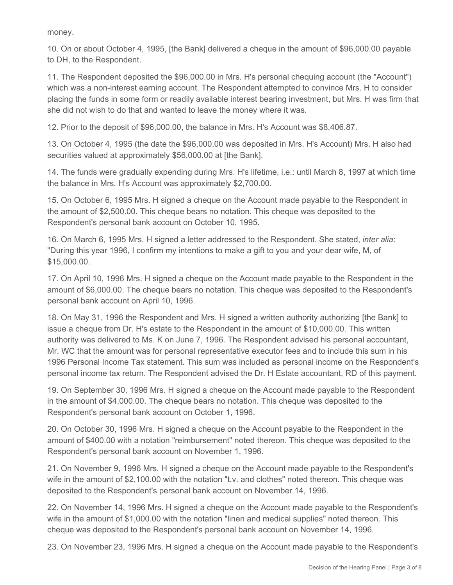money.

10. On or about October 4, 1995, [the Bank] delivered a cheque in the amount of \$96,000.00 payable to DH, to the Respondent.

11. The Respondent deposited the \$96,000.00 in Mrs. H's personal chequing account (the "Account") which was a non-interest earning account. The Respondent attempted to convince Mrs. H to consider placing the funds in some form or readily available interest bearing investment, but Mrs. H was firm that she did not wish to do that and wanted to leave the money where it was.

12. Prior to the deposit of \$96,000.00, the balance in Mrs. H's Account was \$8,406.87.

13. On October 4, 1995 (the date the \$96,000.00 was deposited in Mrs. H's Account) Mrs. H also had securities valued at approximately \$56,000.00 at [the Bank].

14. The funds were gradually expending during Mrs. H's lifetime, i.e.: until March 8, 1997 at which time the balance in Mrs. H's Account was approximately \$2,700.00.

15. On October 6, 1995 Mrs. H signed a cheque on the Account made payable to the Respondent in the amount of \$2,500.00. This cheque bears no notation. This cheque was deposited to the Respondent's personal bank account on October 10, 1995.

16. On March 6, 1995 Mrs. H signed a letter addressed to the Respondent. She stated, *inter alia*: "During this year 1996, I confirm my intentions to make a gift to you and your dear wife, M, of \$15,000.00.

17. On April 10, 1996 Mrs. H signed a cheque on the Account made payable to the Respondent in the amount of \$6,000.00. The cheque bears no notation. This cheque was deposited to the Respondent's personal bank account on April 10, 1996.

18. On May 31, 1996 the Respondent and Mrs. H signed a written authority authorizing [the Bank] to issue a cheque from Dr. H's estate to the Respondent in the amount of \$10,000.00. This written authority was delivered to Ms. K on June 7, 1996. The Respondent advised his personal accountant, Mr. WC that the amount was for personal representative executor fees and to include this sum in his 1996 Personal Income Tax statement. This sum was included as personal income on the Respondent's personal income tax return. The Respondent advised the Dr. H Estate accountant, RD of this payment.

19. On September 30, 1996 Mrs. H signed a cheque on the Account made payable to the Respondent in the amount of \$4,000.00. The cheque bears no notation. This cheque was deposited to the Respondent's personal bank account on October 1, 1996.

20. On October 30, 1996 Mrs. H signed a cheque on the Account payable to the Respondent in the amount of \$400.00 with a notation "reimbursement" noted thereon. This cheque was deposited to the Respondent's personal bank account on November 1, 1996.

21. On November 9, 1996 Mrs. H signed a cheque on the Account made payable to the Respondent's wife in the amount of \$2,100.00 with the notation "t.v. and clothes" noted thereon. This cheque was deposited to the Respondent's personal bank account on November 14, 1996.

22. On November 14, 1996 Mrs. H signed a cheque on the Account made payable to the Respondent's wife in the amount of \$1,000.00 with the notation "linen and medical supplies" noted thereon. This cheque was deposited to the Respondent's personal bank account on November 14, 1996.

23. On November 23, 1996 Mrs. H signed a cheque on the Account made payable to the Respondent's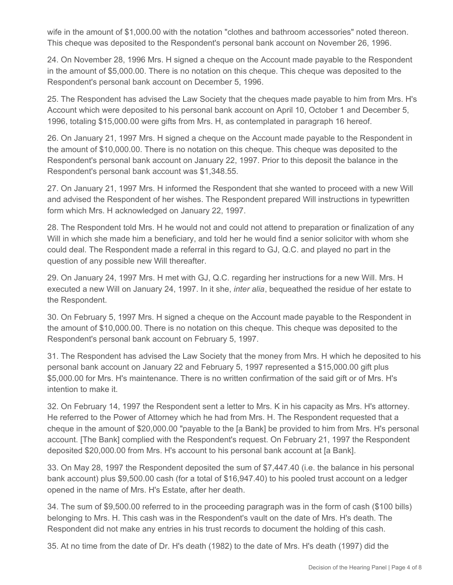wife in the amount of \$1,000.00 with the notation "clothes and bathroom accessories" noted thereon. This cheque was deposited to the Respondent's personal bank account on November 26, 1996.

24. On November 28, 1996 Mrs. H signed a cheque on the Account made payable to the Respondent in the amount of \$5,000.00. There is no notation on this cheque. This cheque was deposited to the Respondent's personal bank account on December 5, 1996.

25. The Respondent has advised the Law Society that the cheques made payable to him from Mrs. H's Account which were deposited to his personal bank account on April 10, October 1 and December 5, 1996, totaling \$15,000.00 were gifts from Mrs. H, as contemplated in paragraph 16 hereof.

26. On January 21, 1997 Mrs. H signed a cheque on the Account made payable to the Respondent in the amount of \$10,000.00. There is no notation on this cheque. This cheque was deposited to the Respondent's personal bank account on January 22, 1997. Prior to this deposit the balance in the Respondent's personal bank account was \$1,348.55.

27. On January 21, 1997 Mrs. H informed the Respondent that she wanted to proceed with a new Will and advised the Respondent of her wishes. The Respondent prepared Will instructions in typewritten form which Mrs. H acknowledged on January 22, 1997.

28. The Respondent told Mrs. H he would not and could not attend to preparation or finalization of any Will in which she made him a beneficiary, and told her he would find a senior solicitor with whom she could deal. The Respondent made a referral in this regard to GJ, Q.C. and played no part in the question of any possible new Will thereafter.

29. On January 24, 1997 Mrs. H met with GJ, Q.C. regarding her instructions for a new Will. Mrs. H executed a new Will on January 24, 1997. In it she, *inter alia*, bequeathed the residue of her estate to the Respondent.

30. On February 5, 1997 Mrs. H signed a cheque on the Account made payable to the Respondent in the amount of \$10,000.00. There is no notation on this cheque. This cheque was deposited to the Respondent's personal bank account on February 5, 1997.

31. The Respondent has advised the Law Society that the money from Mrs. H which he deposited to his personal bank account on January 22 and February 5, 1997 represented a \$15,000.00 gift plus \$5,000.00 for Mrs. H's maintenance. There is no written confirmation of the said gift or of Mrs. H's intention to make it.

32. On February 14, 1997 the Respondent sent a letter to Mrs. K in his capacity as Mrs. H's attorney. He referred to the Power of Attorney which he had from Mrs. H. The Respondent requested that a cheque in the amount of \$20,000.00 "payable to the [a Bank] be provided to him from Mrs. H's personal account. [The Bank] complied with the Respondent's request. On February 21, 1997 the Respondent deposited \$20,000.00 from Mrs. H's account to his personal bank account at [a Bank].

33. On May 28, 1997 the Respondent deposited the sum of \$7,447.40 (i.e. the balance in his personal bank account) plus \$9,500.00 cash (for a total of \$16,947.40) to his pooled trust account on a ledger opened in the name of Mrs. H's Estate, after her death.

34. The sum of \$9,500.00 referred to in the proceeding paragraph was in the form of cash (\$100 bills) belonging to Mrs. H. This cash was in the Respondent's vault on the date of Mrs. H's death. The Respondent did not make any entries in his trust records to document the holding of this cash.

35. At no time from the date of Dr. H's death (1982) to the date of Mrs. H's death (1997) did the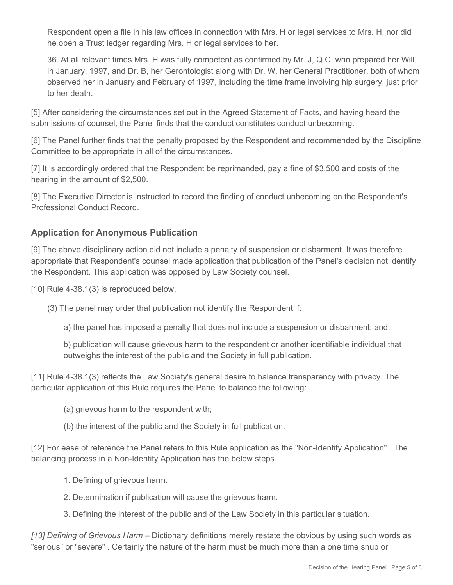Respondent open a file in his law offices in connection with Mrs. H or legal services to Mrs. H, nor did he open a Trust ledger regarding Mrs. H or legal services to her.

36. At all relevant times Mrs. H was fully competent as confirmed by Mr. J, Q.C. who prepared her Will in January, 1997, and Dr. B, her Gerontologist along with Dr. W, her General Practitioner, both of whom observed her in January and February of 1997, including the time frame involving hip surgery, just prior to her death.

[5] After considering the circumstances set out in the Agreed Statement of Facts, and having heard the submissions of counsel, the Panel finds that the conduct constitutes conduct unbecoming.

[6] The Panel further finds that the penalty proposed by the Respondent and recommended by the Discipline Committee to be appropriate in all of the circumstances.

[7] It is accordingly ordered that the Respondent be reprimanded, pay a fine of \$3,500 and costs of the hearing in the amount of \$2,500.

[8] The Executive Director is instructed to record the finding of conduct unbecoming on the Respondent's Professional Conduct Record.

## **Application for Anonymous Publication**

[9] The above disciplinary action did not include a penalty of suspension or disbarment. It was therefore appropriate that Respondent's counsel made application that publication of the Panel's decision not identify the Respondent. This application was opposed by Law Society counsel.

[10] Rule 4-38.1(3) is reproduced below.

- (3) The panel may order that publication not identify the Respondent if:
	- a) the panel has imposed a penalty that does not include a suspension or disbarment; and,

b) publication will cause grievous harm to the respondent or another identifiable individual that outweighs the interest of the public and the Society in full publication.

[11] Rule 4-38.1(3) reflects the Law Society's general desire to balance transparency with privacy. The particular application of this Rule requires the Panel to balance the following:

- (a) grievous harm to the respondent with;
- (b) the interest of the public and the Society in full publication.

[12] For ease of reference the Panel refers to this Rule application as the "Non-Identify Application" . The balancing process in a Non-Identity Application has the below steps.

- 1. Defining of grievous harm.
- 2. Determination if publication will cause the grievous harm.
- 3. Defining the interest of the public and of the Law Society in this particular situation.

*[13] Defining of Grievous Harm* – Dictionary definitions merely restate the obvious by using such words as "serious" or "severe" . Certainly the nature of the harm must be much more than a one time snub or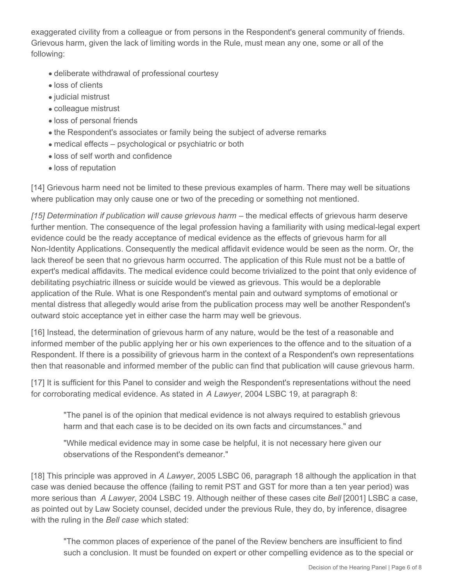exaggerated civility from a colleague or from persons in the Respondent's general community of friends. Grievous harm, given the lack of limiting words in the Rule, must mean any one, some or all of the following:

- deliberate withdrawal of professional courtesy
- loss of clients
- judicial mistrust
- colleague mistrust
- loss of personal friends
- the Respondent's associates or family being the subject of adverse remarks
- medical effects psychological or psychiatric or both
- loss of self worth and confidence
- loss of reputation

[14] Grievous harm need not be limited to these previous examples of harm. There may well be situations where publication may only cause one or two of the preceding or something not mentioned.

*[15] Determination if publication will cause grievous harm* – the medical effects of grievous harm deserve further mention. The consequence of the legal profession having a familiarity with using medical-legal expert evidence could be the ready acceptance of medical evidence as the effects of grievous harm for all Non-Identity Applications. Consequently the medical affidavit evidence would be seen as the norm. Or, the lack thereof be seen that no grievous harm occurred. The application of this Rule must not be a battle of expert's medical affidavits. The medical evidence could become trivialized to the point that only evidence of debilitating psychiatric illness or suicide would be viewed as grievous. This would be a deplorable application of the Rule. What is one Respondent's mental pain and outward symptoms of emotional or mental distress that allegedly would arise from the publication process may well be another Respondent's outward stoic acceptance yet in either case the harm may well be grievous.

[16] Instead, the determination of grievous harm of any nature, would be the test of a reasonable and informed member of the public applying her or his own experiences to the offence and to the situation of a Respondent. If there is a possibility of grievous harm in the context of a Respondent's own representations then that reasonable and informed member of the public can find that publication will cause grievous harm.

[17] It is sufficient for this Panel to consider and weigh the Respondent's representations without the need for corroborating medical evidence. As stated in *A Lawyer*, 2004 LSBC 19, at paragraph 8:

"The panel is of the opinion that medical evidence is not always required to establish grievous harm and that each case is to be decided on its own facts and circumstances." and

"While medical evidence may in some case be helpful, it is not necessary here given our observations of the Respondent's demeanor."

[18] This principle was approved in *A Lawyer*, 2005 LSBC 06, paragraph 18 although the application in that case was denied because the offence (failing to remit PST and GST for more than a ten year period) was more serious than *A Lawyer*, 2004 LSBC 19. Although neither of these cases cite *Bell* [2001] LSBC a case, as pointed out by Law Society counsel, decided under the previous Rule, they do, by inference, disagree with the ruling in the *Bell case* which stated:

"The common places of experience of the panel of the Review benchers are insufficient to find such a conclusion. It must be founded on expert or other compelling evidence as to the special or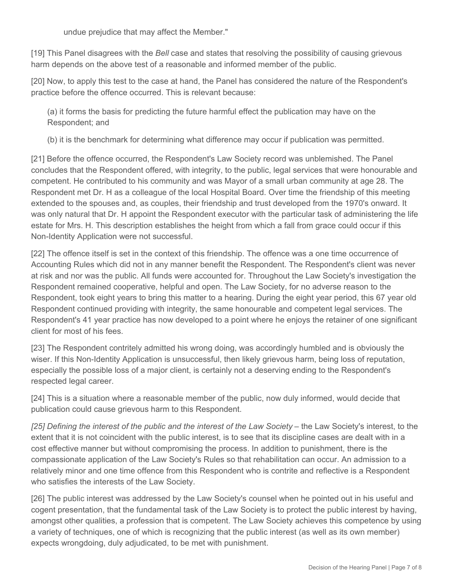undue prejudice that may affect the Member."

[19] This Panel disagrees with the *Bell* case and states that resolving the possibility of causing grievous harm depends on the above test of a reasonable and informed member of the public.

[20] Now, to apply this test to the case at hand, the Panel has considered the nature of the Respondent's practice before the offence occurred. This is relevant because:

(a) it forms the basis for predicting the future harmful effect the publication may have on the Respondent; and

(b) it is the benchmark for determining what difference may occur if publication was permitted.

[21] Before the offence occurred, the Respondent's Law Society record was unblemished. The Panel concludes that the Respondent offered, with integrity, to the public, legal services that were honourable and competent. He contributed to his community and was Mayor of a small urban community at age 28. The Respondent met Dr. H as a colleague of the local Hospital Board. Over time the friendship of this meeting extended to the spouses and, as couples, their friendship and trust developed from the 1970's onward. It was only natural that Dr. H appoint the Respondent executor with the particular task of administering the life estate for Mrs. H. This description establishes the height from which a fall from grace could occur if this Non-Identity Application were not successful.

[22] The offence itself is set in the context of this friendship. The offence was a one time occurrence of Accounting Rules which did not in any manner benefit the Respondent. The Respondent's client was never at risk and nor was the public. All funds were accounted for. Throughout the Law Society's investigation the Respondent remained cooperative, helpful and open. The Law Society, for no adverse reason to the Respondent, took eight years to bring this matter to a hearing. During the eight year period, this 67 year old Respondent continued providing with integrity, the same honourable and competent legal services. The Respondent's 41 year practice has now developed to a point where he enjoys the retainer of one significant client for most of his fees.

[23] The Respondent contritely admitted his wrong doing, was accordingly humbled and is obviously the wiser. If this Non-Identity Application is unsuccessful, then likely grievous harm, being loss of reputation, especially the possible loss of a major client, is certainly not a deserving ending to the Respondent's respected legal career.

[24] This is a situation where a reasonable member of the public, now duly informed, would decide that publication could cause grievous harm to this Respondent.

*[25] Defining the interest of the public and the interest of the Law Society* – the Law Society's interest, to the extent that it is not coincident with the public interest, is to see that its discipline cases are dealt with in a cost effective manner but without compromising the process. In addition to punishment, there is the compassionate application of the Law Society's Rules so that rehabilitation can occur. An admission to a relatively minor and one time offence from this Respondent who is contrite and reflective is a Respondent who satisfies the interests of the Law Society.

[26] The public interest was addressed by the Law Society's counsel when he pointed out in his useful and cogent presentation, that the fundamental task of the Law Society is to protect the public interest by having, amongst other qualities, a profession that is competent. The Law Society achieves this competence by using a variety of techniques, one of which is recognizing that the public interest (as well as its own member) expects wrongdoing, duly adjudicated, to be met with punishment.